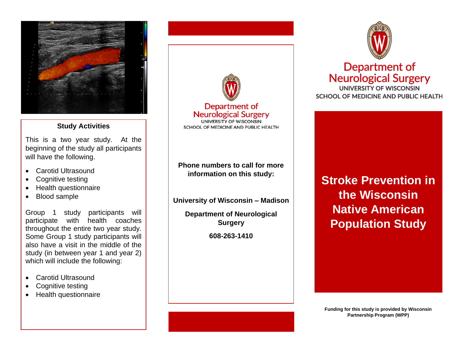

## **Study Activities**

This is a two year study. At the beginning of the study all participants will have the following.

- Carotid Ultrasound
- Cognitive testing
- Health questionnaire
- Blood sample

Group 1 study participants will participate with health coaches throughout the entire two year study. Some Group 1 study participants will also have a visit in the middle of the study (in between year 1 and year 2) which will include the following:

- Carotid Ultrasound
- Cognitive testing
- Health questionnaire



**Surgery**

**608-263-1410**



# Department of **Neurological Surgery**

UNIVERSITY OF WISCONSIN SCHOOL OF MEDICINE AND PUBLIC HEALTH

**Stroke Prevention in the Wisconsin Native American Population Study**

**Funding for this study is provided by Wisconsin Partnership Program (WPP)**